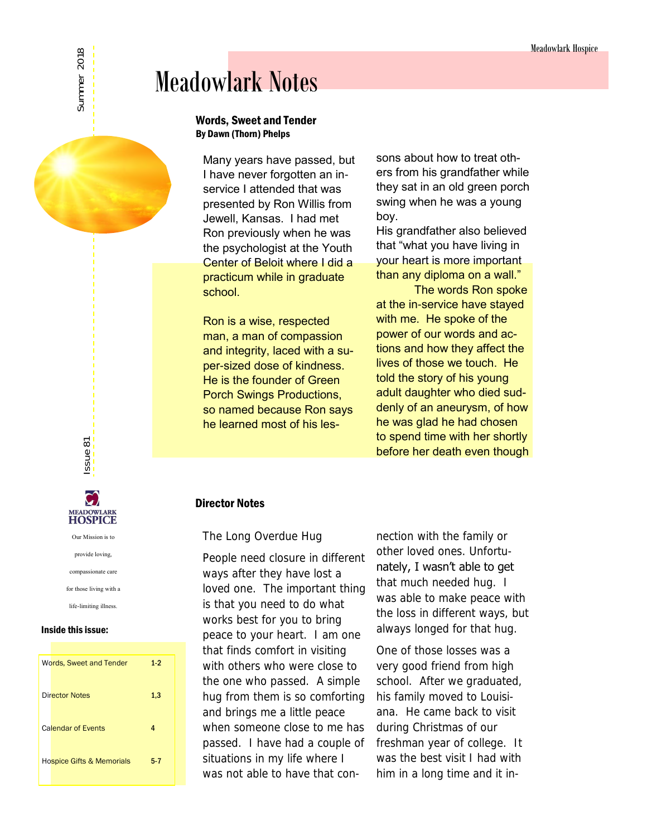# Meadowlark Notes

#### Words, Sweet and Tender By Dawn (Thorn) Phelps

Many years have passed, but I have never forgotten an inservice I attended that was presented by Ron Willis from Jewell, Kansas. I had met Ron previously when he was the psychologist at the Youth Center of Beloit where I did a practicum while in graduate school.

Ron is a wise, respected man, a man of compassion and integrity, laced with a super-sized dose of kindness. He is the founder of Green Porch Swings Productions, so named because Ron says he learned most of his lessons about how to treat others from his grandfather while they sat in an old green porch swing when he was a young boy.

His grandfather also believed that "what you have living in your heart is more important than any diploma on a wall."

The words Ron spoke at the in-service have stayed with me. He spoke of the power of our words and actions and how they affect the lives of those we touch. He told the story of his young adult daughter who died suddenly of an aneurysm, of how he was glad he had chosen to spend time with her shortly before her death even though

## Director Notes

## The Long Overdue Hug

People need closure in different ways after they have lost a loved one. The important thing is that you need to do what works best for you to bring peace to your heart. I am one that finds comfort in visiting with others who were close to the one who passed. A simple hug from them is so comforting and brings me a little peace when someone close to me has passed. I have had a couple of situations in my life where I was not able to have that connection with the family or other loved ones. Unfortunately, I wasn't able to get that much needed hug. I was able to make peace with the loss in different ways, but always longed for that hug.

One of those losses was a very good friend from high school. After we graduated, his family moved to Louisiana. He came back to visit during Christmas of our freshman year of college. It was the best visit I had with him in a long time and it in-



ssue 81

#### Inside this issue:

| Words, Sweet and Tender              | $1-2$   |
|--------------------------------------|---------|
| Director Notes                       | 1,3     |
| <b>Calendar of Events</b>            | 4       |
| <b>Hospice Gifts &amp; Memorials</b> | $5 - 7$ |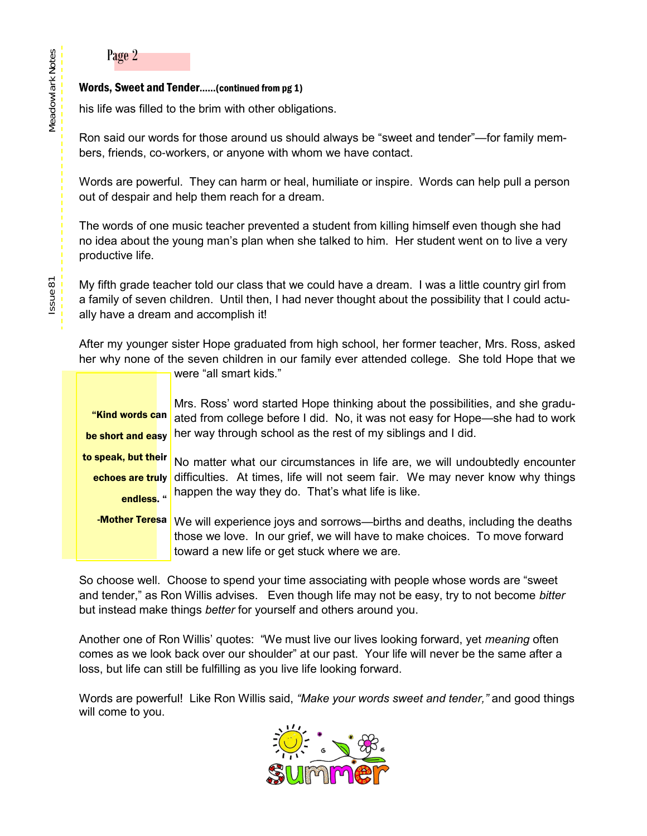## Page 2

## Words, Sweet and Tender……(continued from pg 1)

his life was filled to the brim with other obligations.

Ron said our words for those around us should always be "sweet and tender"—for family members, friends, co-workers, or anyone with whom we have contact.

Words are powerful. They can harm or heal, humiliate or inspire. Words can help pull a person out of despair and help them reach for a dream.

The words of one music teacher prevented a student from killing himself even though she had no idea about the young man's plan when she talked to him. Her student went on to live a very productive life.

My fifth grade teacher told our class that we could have a dream. I was a little country girl from a family of seven children. Until then, I had never thought about the possibility that I could actually have a dream and accomplish it!

After my younger sister Hope graduated from high school, her former teacher, Mrs. Ross, asked her why none of the seven children in our family ever attended college. She told Hope that we

were "all smart kids."

Mrs. Ross' word started Hope thinking about the possibilities, and she graduated from college before I did. No, it was not easy for Hope—she had to work her way through school as the rest of my siblings and I did. "Kind words can be short and easy

No matter what our circumstances in life are, we will undoubtedly encounter echoes are truly difficulties. At times, life will not seem fair. We may never know why things happen the way they do. That's what life is like. to speak, but their endless. "

-Mother Teresa We will experience joys and sorrows—births and deaths, including the deaths those we love. In our grief, we will have to make choices. To move forward toward a new life or get stuck where we are.

So choose well. Choose to spend your time associating with people whose words are "sweet and tender," as Ron Willis advises. Even though life may not be easy, try to not become *bitter*  but instead make things *better* for yourself and others around you.

Another one of Ron Willis' quotes: "We must live our lives looking forward, yet *meaning* often comes as we look back over our shoulder" at our past. Your life will never be the same after a loss, but life can still be fulfilling as you live life looking forward.

Words are powerful! Like Ron Willis said, *"Make your words sweet and tender,"* and good things will come to you.

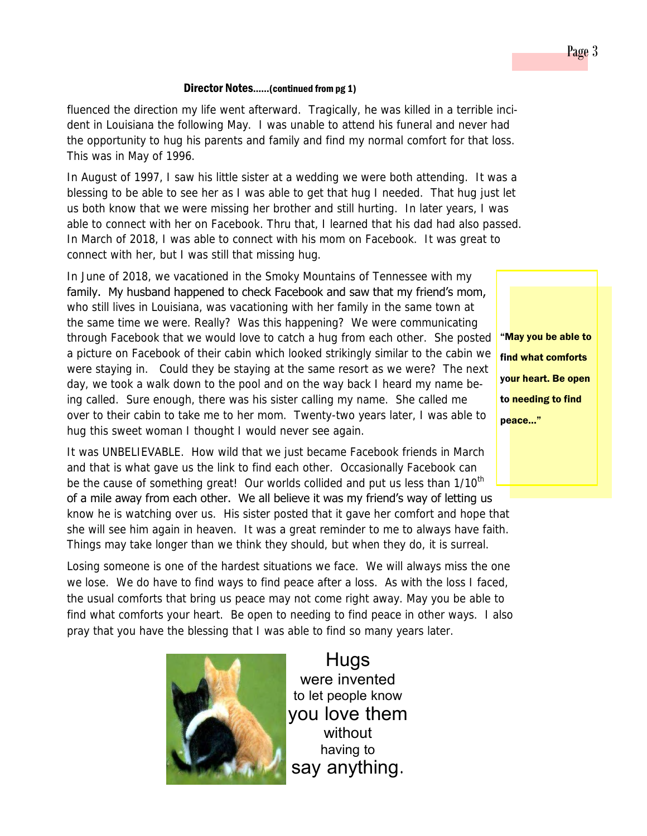#### Director Notes……(continued from pg 1)

fluenced the direction my life went afterward. Tragically, he was killed in a terrible incident in Louisiana the following May. I was unable to attend his funeral and never had the opportunity to hug his parents and family and find my normal comfort for that loss. This was in May of 1996.

In August of 1997, I saw his little sister at a wedding we were both attending. It was a blessing to be able to see her as I was able to get that hug I needed. That hug just let us both know that we were missing her brother and still hurting. In later years, I was able to connect with her on Facebook. Thru that, I learned that his dad had also passed. In March of 2018, I was able to connect with his mom on Facebook. It was great to connect with her, but I was still that missing hug.

In June of 2018, we vacationed in the Smoky Mountains of Tennessee with my family. My husband happened to check Facebook and saw that my friend's mom, who still lives in Louisiana, was vacationing with her family in the same town at the same time we were. Really? Was this happening? We were communicating through Facebook that we would love to catch a hug from each other. She posted a picture on Facebook of their cabin which looked strikingly similar to the cabin we were staying in. Could they be staying at the same resort as we were? The next day, we took a walk down to the pool and on the way back I heard my name being called. Sure enough, there was his sister calling my name. She called me over to their cabin to take me to her mom. Twenty-two years later, I was able to hug this sweet woman I thought I would never see again.

It was UNBELIEVABLE. How wild that we just became Facebook friends in March and that is what gave us the link to find each other. Occasionally Facebook can be the cause of something great! Our worlds collided and put us less than 1/10<sup>th</sup> of a mile away from each other. We all believe it was my friend's way of letting us know he is watching over us. His sister posted that it gave her comfort and hope that she will see him again in heaven. It was a great reminder to me to always have faith. Things may take longer than we think they should, but when they do, it is surreal.

Losing someone is one of the hardest situations we face. We will always miss the one we lose. We do have to find ways to find peace after a loss. As with the loss I faced, the usual comforts that bring us peace may not come right away. May you be able to find what comforts your heart. Be open to needing to find peace in other ways. I also pray that you have the blessing that I was able to find so many years later.



Hugs were invented to let people know you love them without having to say anything.

"May you be able to find what comforts your heart. Be open to needing to find peace…"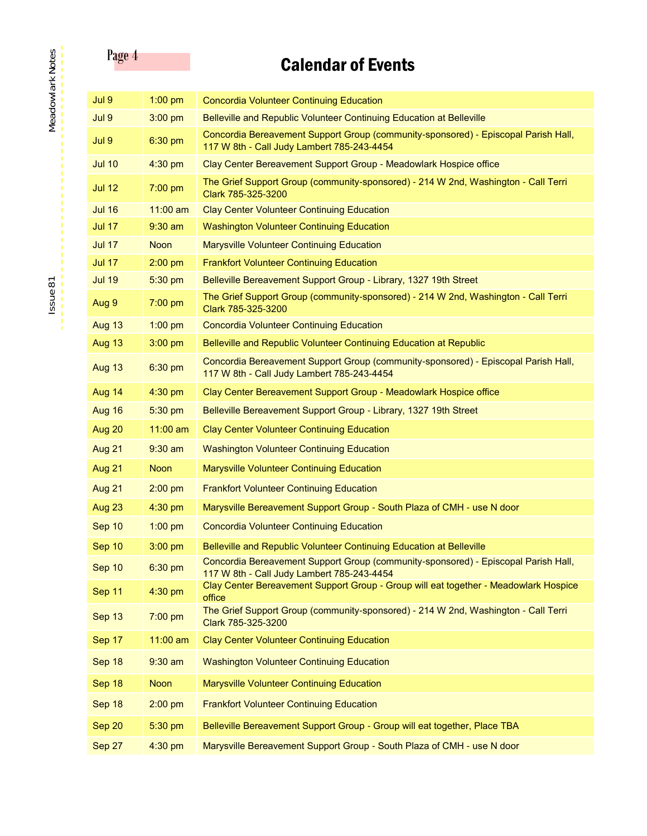# Page 4 **Calendar of Events**

| Jul 9         | $1:00$ pm   | Concordia Volunteer Continuing Education                                                                                         |
|---------------|-------------|----------------------------------------------------------------------------------------------------------------------------------|
| Jul 9         | $3:00$ pm   | Belleville and Republic Volunteer Continuing Education at Belleville                                                             |
| Jul 9         | 6:30 pm     | Concordia Bereavement Support Group (community-sponsored) - Episcopal Parish Hall,<br>117 W 8th - Call Judy Lambert 785-243-4454 |
| <b>Jul 10</b> | 4:30 pm     | Clay Center Bereavement Support Group - Meadowlark Hospice office                                                                |
| <b>Jul 12</b> | 7:00 pm     | The Grief Support Group (community-sponsored) - 214 W 2nd, Washington - Call Terri<br>Clark 785-325-3200                         |
| <b>Jul 16</b> | $11:00$ am  | <b>Clay Center Volunteer Continuing Education</b>                                                                                |
| <b>Jul 17</b> | $9:30$ am   | <b>Washington Volunteer Continuing Education</b>                                                                                 |
| <b>Jul 17</b> | <b>Noon</b> | <b>Marysville Volunteer Continuing Education</b>                                                                                 |
| <b>Jul 17</b> | $2:00$ pm   | <b>Frankfort Volunteer Continuing Education</b>                                                                                  |
| <b>Jul 19</b> | 5:30 pm     | Belleville Bereavement Support Group - Library, 1327 19th Street                                                                 |
| Aug 9         | 7:00 pm     | The Grief Support Group (community-sponsored) - 214 W 2nd, Washington - Call Terri<br>Clark 785-325-3200                         |
| Aug 13        | $1:00$ pm   | <b>Concordia Volunteer Continuing Education</b>                                                                                  |
| Aug 13        | 3:00 pm     | Belleville and Republic Volunteer Continuing Education at Republic                                                               |
| Aug 13        | 6:30 pm     | Concordia Bereavement Support Group (community-sponsored) - Episcopal Parish Hall,<br>117 W 8th - Call Judy Lambert 785-243-4454 |
| Aug 14        | 4:30 pm     | Clay Center Bereavement Support Group - Meadowlark Hospice office                                                                |
| Aug 16        | 5:30 pm     | Belleville Bereavement Support Group - Library, 1327 19th Street                                                                 |
| Aug 20        | 11:00 am    | <b>Clay Center Volunteer Continuing Education</b>                                                                                |
| Aug 21        | $9:30$ am   | <b>Washington Volunteer Continuing Education</b>                                                                                 |
| Aug 21        | <b>Noon</b> | Marysville Volunteer Continuing Education                                                                                        |
| Aug 21        | $2:00$ pm   | <b>Frankfort Volunteer Continuing Education</b>                                                                                  |
| Aug 23        | 4:30 pm     | Marysville Bereavement Support Group - South Plaza of CMH - use N door                                                           |
| Sep 10        | $1:00$ pm   | <b>Concordia Volunteer Continuing Education</b>                                                                                  |
| Sep 10        | 3:00 pm     | Belleville and Republic Volunteer Continuing Education at Belleville                                                             |
| Sep 10        | 6:30 pm     | Concordia Bereavement Support Group (community-sponsored) - Episcopal Parish Hall,<br>117 W 8th - Call Judy Lambert 785-243-4454 |
| Sep 11        | 4:30 pm     | Clay Center Bereavement Support Group - Group will eat together - Meadowlark Hospice<br>office                                   |
| Sep 13        | 7:00 pm     | The Grief Support Group (community-sponsored) - 214 W 2nd, Washington - Call Terri<br>Clark 785-325-3200                         |
| Sep 17        | 11:00 am    | <b>Clay Center Volunteer Continuing Education</b>                                                                                |
| Sep 18        | $9:30$ am   | <b>Washington Volunteer Continuing Education</b>                                                                                 |
| Sep 18        | <b>Noon</b> | Marysville Volunteer Continuing Education                                                                                        |
| Sep 18        | $2:00$ pm   | <b>Frankfort Volunteer Continuing Education</b>                                                                                  |
| Sep 20        | 5:30 pm     | Belleville Bereavement Support Group - Group will eat together, Place TBA                                                        |
| Sep 27        | 4:30 pm     | Marysville Bereavement Support Group - South Plaza of CMH - use N door                                                           |

Issue<sup>81</sup>

Meadowlark Notes Ssue 81 Meadowlark Notes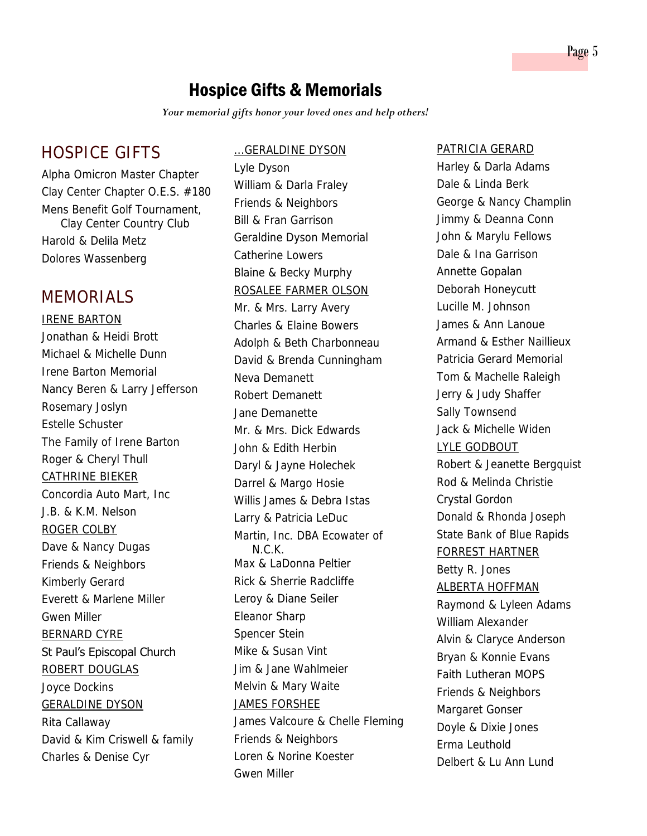## Hospice Gifts & Memorials

*Your memorial gifts honor your loved ones and help others!* 

## HOSPICE GIFTS

Alpha Omicron Master Chapter Clay Center Chapter O.E.S. #180 Mens Benefit Golf Tournament, Clay Center Country Club Harold & Delila Metz Dolores Wassenberg

## MEMORIALS

IRENE BARTON Jonathan & Heidi Brott Michael & Michelle Dunn Irene Barton Memorial Nancy Beren & Larry Jefferson Rosemary Joslyn Estelle Schuster The Family of Irene Barton Roger & Cheryl Thull CATHRINE BIEKER Concordia Auto Mart, Inc J.B. & K.M. Nelson ROGER COLBY Dave & Nancy Dugas Friends & Neighbors Kimberly Gerard Everett & Marlene Miller Gwen Miller BERNARD CYRE St Paul's Episcopal Church ROBERT DOUGLAS Joyce Dockins GERALDINE DYSON Rita Callaway David & Kim Criswell & family Charles & Denise Cyr

#### ...GERALDINE DYSON

Lyle Dyson William & Darla Fraley Friends & Neighbors Bill & Fran Garrison Geraldine Dyson Memorial Catherine Lowers Blaine & Becky Murphy ROSALEE FARMER OLSON Mr. & Mrs. Larry Avery Charles & Elaine Bowers Adolph & Beth Charbonneau David & Brenda Cunningham Neva Demanett Robert Demanett Jane Demanette Mr. & Mrs. Dick Edwards John & Edith Herbin Daryl & Jayne Holechek Darrel & Margo Hosie Willis James & Debra Istas Larry & Patricia LeDuc Martin, Inc. DBA Ecowater of N.C.K. Max & LaDonna Peltier Rick & Sherrie Radcliffe Leroy & Diane Seiler Eleanor Sharp Spencer Stein Mike & Susan Vint Jim & Jane Wahlmeier Melvin & Mary Waite JAMES FORSHEE James Valcoure & Chelle Fleming Friends & Neighbors Loren & Norine Koester Gwen Miller

## PATRICIA GERARD

Harley & Darla Adams Dale & Linda Berk George & Nancy Champlin Jimmy & Deanna Conn John & Marylu Fellows Dale & Ina Garrison Annette Gopalan Deborah Honeycutt Lucille M. Johnson James & Ann Lanoue Armand & Esther Naillieux Patricia Gerard Memorial Tom & Machelle Raleigh Jerry & Judy Shaffer Sally Townsend Jack & Michelle Widen LYLE GODBOUT Robert & Jeanette Bergquist Rod & Melinda Christie Crystal Gordon Donald & Rhonda Joseph State Bank of Blue Rapids FORREST HARTNER Betty R. Jones ALBERTA HOFFMAN Raymond & Lyleen Adams William Alexander Alvin & Claryce Anderson Bryan & Konnie Evans Faith Lutheran MOPS Friends & Neighbors Margaret Gonser Doyle & Dixie Jones Erma Leuthold Delbert & Lu Ann Lund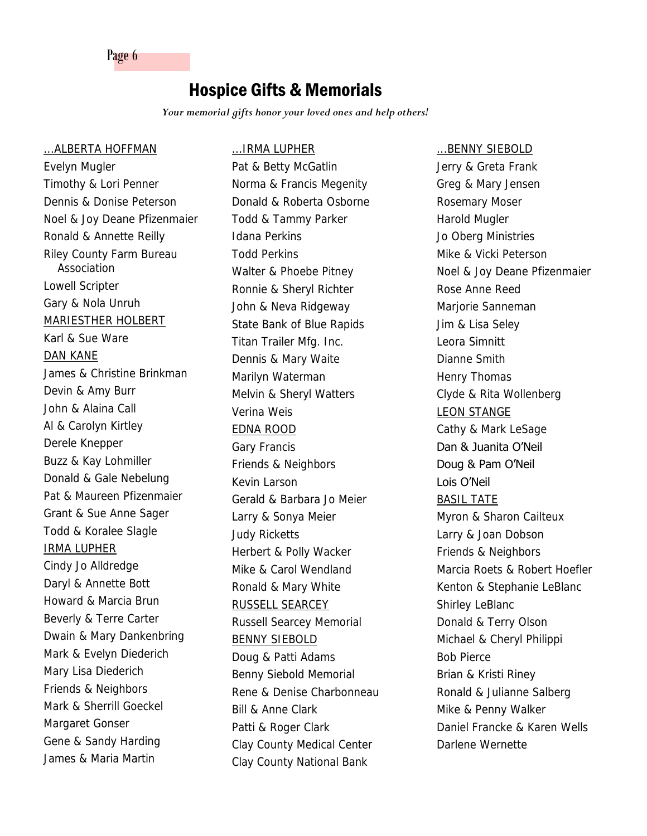Page 6

## Hospice Gifts & Memorials

...IRMA LUPHER

*Your memorial gifts honor your loved ones and help others!* 

...ALBERTA HOFFMAN Evelyn Mugler Timothy & Lori Penner Dennis & Donise Peterson Noel & Joy Deane Pfizenmaier Ronald & Annette Reilly Riley County Farm Bureau Association Lowell Scripter Gary & Nola Unruh MARIESTHER HOLBERT Karl & Sue Ware DAN KANE James & Christine Brinkman Devin & Amy Burr John & Alaina Call Al & Carolyn Kirtley Derele Knepper Buzz & Kay Lohmiller Donald & Gale Nebelung Pat & Maureen Pfizenmaier Grant & Sue Anne Sager Todd & Koralee Slagle IRMA LUPHER Cindy Jo Alldredge Daryl & Annette Bott Howard & Marcia Brun Beverly & Terre Carter Dwain & Mary Dankenbring Mark & Evelyn Diederich Mary Lisa Diederich Friends & Neighbors Mark & Sherrill Goeckel Margaret Gonser Gene & Sandy Harding James & Maria Martin

Pat & Betty McGatlin Norma & Francis Megenity Donald & Roberta Osborne Todd & Tammy Parker Idana Perkins Todd Perkins Walter & Phoebe Pitney Ronnie & Sheryl Richter John & Neva Ridgeway State Bank of Blue Rapids Titan Trailer Mfg. Inc. Dennis & Mary Waite Marilyn Waterman Melvin & Sheryl Watters Verina Weis EDNA ROOD Gary Francis Friends & Neighbors Kevin Larson Gerald & Barbara Jo Meier Larry & Sonya Meier Judy Ricketts Herbert & Polly Wacker Mike & Carol Wendland Ronald & Mary White RUSSELL SEARCEY Russell Searcey Memorial BENNY SIEBOLD Doug & Patti Adams Benny Siebold Memorial Rene & Denise Charbonneau Bill & Anne Clark Patti & Roger Clark Clay County Medical Center Clay County National Bank

...BENNY SIEBOLD

Jerry & Greta Frank Greg & Mary Jensen Rosemary Moser Harold Mugler Jo Oberg Ministries Mike & Vicki Peterson Noel & Joy Deane Pfizenmaier Rose Anne Reed Marjorie Sanneman Jim & Lisa Seley Leora Simnitt Dianne Smith Henry Thomas Clyde & Rita Wollenberg LEON STANGE Cathy & Mark LeSage Dan & Juanita O'Neil Doug & Pam O'Neil Lois O'Neil BASIL TATE Myron & Sharon Cailteux Larry & Joan Dobson Friends & Neighbors Marcia Roets & Robert Hoefler Kenton & Stephanie LeBlanc Shirley LeBlanc Donald & Terry Olson Michael & Cheryl Philippi Bob Pierce Brian & Kristi Riney Ronald & Julianne Salberg Mike & Penny Walker Daniel Francke & Karen Wells Darlene Wernette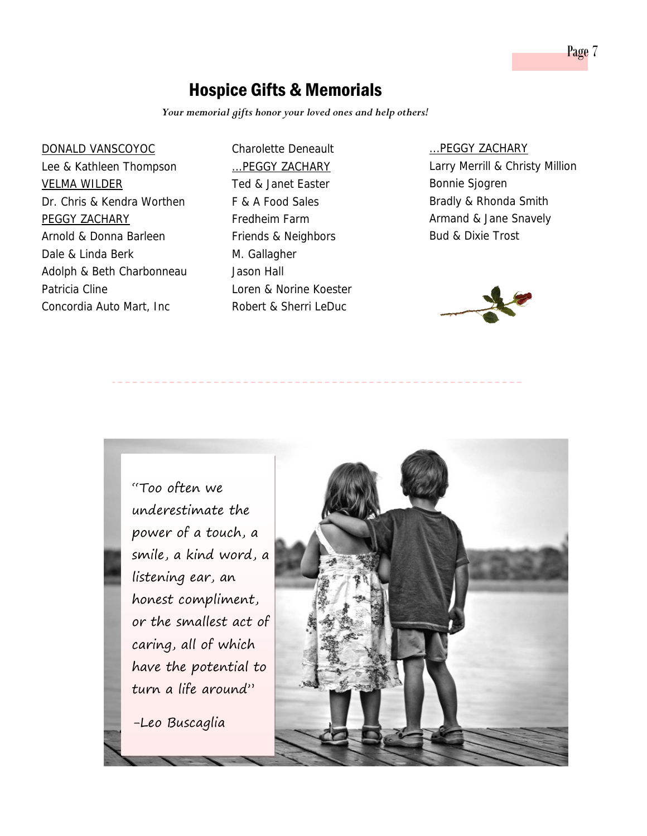## Hospice Gifts & Memorials

Charolette Deneault

*Your memorial gifts honor your loved ones and help others!* 

#### DONALD VANSCOYOC

Lee & Kathleen Thompson VELMA WILDER Dr. Chris & Kendra Worthen PEGGY ZACHARY Arnold & Donna Barleen Dale & Linda Berk Adolph & Beth Charbonneau Patricia Cline Concordia Auto Mart, Inc

## ...PEGGY ZACHARY Ted & Janet Easter F & A Food Sales Fredheim Farm Friends & Neighbors M. Gallagher Jason Hall Loren & Norine Koester Robert & Sherri LeDuc

#### ...PEGGY ZACHARY

Larry Merrill & Christy Million Bonnie Sjogren Bradly & Rhonda Smith Armand & Jane Snavely Bud & Dixie Trost



"Too often we underestimate the power of a touch, a smile, a kind word, a listening ear, an honest compliment, or the smallest act of caring, all of which have the potential to turn a life around"

-Leo Buscaglia